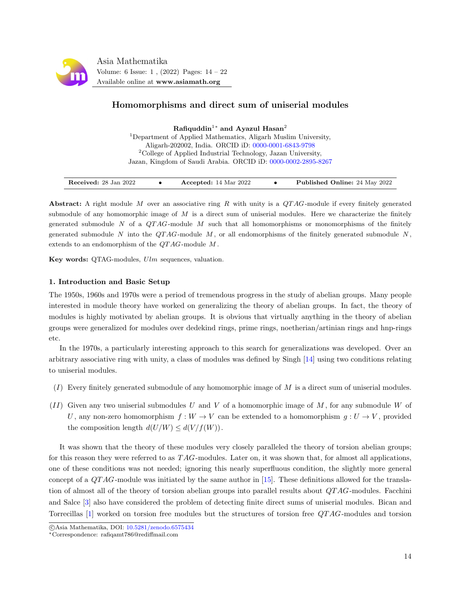

# Homomorphisms and direct sum of uniserial modules

Rafiquddin<sup>1</sup>\* and Ayazul Hasan<sup>2</sup> <sup>1</sup>Department of Applied Mathematics, Aligarh Muslim University, Aligarh-202002, India. ORCID iD: [0000-0001-6843-9798](https://orcid.org/0000-0001-6843-9798) <sup>2</sup>College of Applied Industrial Technology, Jazan University, Jazan, Kingdom of Saudi Arabia. ORCID iD: [0000-0002-2895-8267](https://orcid.org/0000-0002-2895-8267)

Abstract: A right module M over an associative ring R with unity is a  $QTAG$ -module if every finitely generated submodule of any homomorphic image of  $M$  is a direct sum of uniserial modules. Here we characterize the finitely generated submodule N of a  $QTAG$ -module M such that all homomorphisms or monomorphisms of the finitely generated submodule N into the QTAG-module M, or all endomorphisms of the finitely generated submodule N, extends to an endomorphism of the  $QTAG$ -module  $M$ .

Key words: QTAG-modules,  $Ulm$  sequences, valuation.

## 1. Introduction and Basic Setup

The 1950s, 1960s and 1970s were a period of tremendous progress in the study of abelian groups. Many people interested in module theory have worked on generalizing the theory of abelian groups. In fact, the theory of modules is highly motivated by abelian groups. It is obvious that virtually anything in the theory of abelian groups were generalized for modules over dedekind rings, prime rings, noetherian/artinian rings and hnp-rings etc.

In the 1970s, a particularly interesting approach to this search for generalizations was developed. Over an arbitrary associative ring with unity, a class of modules was defined by Singh [\[14\]](#page-8-0) using two conditions relating to uniserial modules.

- $(I)$  Every finitely generated submodule of any homomorphic image of M is a direct sum of uniserial modules.
- $(II)$  Given any two uniserial submodules U and V of a homomorphic image of M, for any submodule W of U, any non-zero homomorphism  $f: W \to V$  can be extended to a homomorphism  $g: U \to V$ , provided the composition length  $d(U/W) \leq d(V/f(W))$ .

It was shown that the theory of these modules very closely paralleled the theory of torsion abelian groups; for this reason they were referred to as  $TAG$ -modules. Later on, it was shown that, for almost all applications, one of these conditions was not needed; ignoring this nearly superfluous condition, the slightly more general concept of a  $QTAG$ -module was initiated by the same author in [\[15\]](#page-8-1). These definitions allowed for the translation of almost all of the theory of torsion abelian groups into parallel results about QT AG-modules. Facchini and Salce [\[3\]](#page-8-2) also have considered the problem of detecting finite direct sums of uniserial modules. Bican and Torrecillas [\[1\]](#page-7-0) worked on torsion free modules but the structures of torsion free QT AG-modules and torsion

c Asia Mathematika, DOI: [10.5281/zenodo.6575434](http://www.asiamath.org/article/vol6iss1/AM-2204-6106.pdf)

<sup>∗</sup>Correspondence: rafiqamt786@rediffmail.com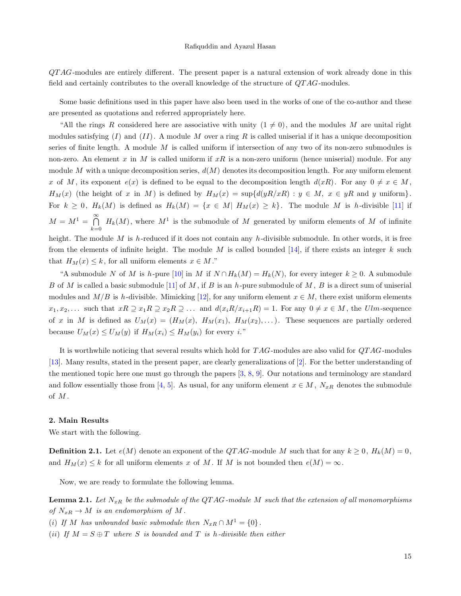$QTAG$ -modules are entirely different. The present paper is a natural extension of work already done in this field and certainly contributes to the overall knowledge of the structure of QT AG-modules.

Some basic definitions used in this paper have also been used in the works of one of the co-author and these are presented as quotations and referred appropriately here.

"All the rings R considered here are associative with unity  $(1 \neq 0)$ , and the modules M are unital right modules satisfying  $(I)$  and  $(II)$ . A module M over a ring R is called uniserial if it has a unique decomposition series of finite length. A module  $M$  is called uniform if intersection of any two of its non-zero submodules is non-zero. An element x in M is called uniform if  $xR$  is a non-zero uniform (hence uniserial) module. For any module M with a unique decomposition series,  $d(M)$  denotes its decomposition length. For any uniform element x of M, its exponent  $e(x)$  is defined to be equal to the decomposition length  $d(xR)$ . For any  $0 \neq x \in M$ ,  $H_M(x)$  (the height of x in M) is defined by  $H_M(x) = \sup\{d(yR/xR) : y \in M, x \in yR \text{ and } y \text{ uniform}\}.$ For  $k \geq 0$ ,  $H_k(M)$  is defined as  $H_k(M) = \{x \in M | H_M(x) \geq k\}$ . The module M is h-divisible [\[11\]](#page-8-3) if  $M = M^1 = \bigcap_{n=1}^{\infty}$  $\bigcap_{k=0}$   $H_k(M)$ , where  $M^1$  is the submodule of M generated by uniform elements of M of infinite height. The module M is h-reduced if it does not contain any h-divisible submodule. In other words, it is free from the elements of infinite height. The module M is called bounded [\[14\]](#page-8-0), if there exists an integer k such that  $H_M(x) \leq k$ , for all uniform elements  $x \in M$ ."

"A submodule N of M is h-pure [\[10\]](#page-8-4) in M if  $N \cap H_k(M) = H_k(N)$ , for every integer  $k \geq 0$ . A submodule B of M is called a basic submodule [\[11\]](#page-8-3) of M, if B is an h-pure submodule of M, B is a direct sum of uniserial modules and  $M/B$  is h-divisible. Mimicking [\[12\]](#page-8-5), for any uniform element  $x \in M$ , there exist uniform elements  $x_1, x_2, \ldots$  such that  $xR \supseteq x_1R \supseteq x_2R \supseteq \ldots$  and  $d(x_iR/x_{i+1}R) = 1$ . For any  $0 \neq x \in M$ , the Ulm-sequence of x in M is defined as  $U_M(x) = (H_M(x), H_M(x_1), H_M(x_2), \ldots)$ . These sequences are partially ordered because  $U_M(x) \leq U_M(y)$  if  $H_M(x_i) \leq H_M(y_i)$  for every i."

It is worthwhile noticing that several results which hold for TAG-modules are also valid for  $QTAG$ -modules [\[13\]](#page-8-6). Many results, stated in the present paper, are clearly generalizations of [\[2\]](#page-7-1). For the better understanding of the mentioned topic here one must go through the papers [\[3,](#page-8-2) [8,](#page-8-7) [9\]](#page-8-8). Our notations and terminology are standard and follow essentially those from [\[4,](#page-8-9) [5\]](#page-8-10). As usual, for any uniform element  $x \in M$ ,  $N_{xR}$  denotes the submodule of M .

#### 2. Main Results

We start with the following.

**Definition 2.1.** Let  $e(M)$  denote an exponent of the QTAG-module M such that for any  $k \geq 0$ ,  $H_k(M) = 0$ , and  $H_M(x) \leq k$  for all uniform elements x of M. If M is not bounded then  $e(M) = \infty$ .

Now, we are ready to formulate the following lemma.

**Lemma 2.1.** Let  $N_{xR}$  be the submodule of the QTAG-module M such that the extension of all monomorphisms of  $N_{xR} \to M$  is an endomorphism of M.

(i) If M has unbounded basic submodule then  $N_{xR} \cap M^1 = \{0\}$ .

(ii) If  $M = S \oplus T$  where S is bounded and T is h-divisible then either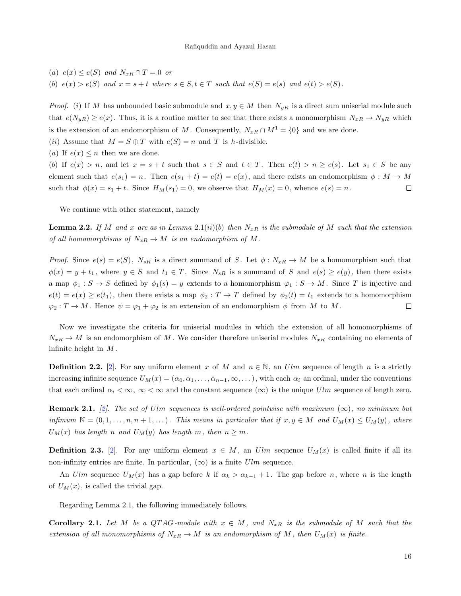(a)  $e(x) \leq e(S)$  and  $N_{xR} \cap T = 0$  or (b)  $e(x) > e(S)$  and  $x = s + t$  where  $s \in S, t \in T$  such that  $e(S) = e(s)$  and  $e(t) > e(S)$ .

*Proof.* (i) If M has unbounded basic submodule and  $x, y \in M$  then  $N_{yR}$  is a direct sum uniserial module such that  $e(N_{yR}) \geq e(x)$ . Thus, it is a routine matter to see that there exists a monomorphism  $N_{xR} \to N_{yR}$  which is the extension of an endomorphism of M. Consequently,  $N_{xR} \cap M^1 = \{0\}$  and we are done.

(ii) Assume that  $M = S \oplus T$  with  $e(S) = n$  and T is h-divisible.

(a) If  $e(x) \leq n$  then we are done.

(b) If  $e(x) > n$ , and let  $x = s + t$  such that  $s \in S$  and  $t \in T$ . Then  $e(t) > n \ge e(s)$ . Let  $s_1 \in S$  be any element such that  $e(s_1) = n$ . Then  $e(s_1 + t) = e(t) = e(x)$ , and there exists an endomorphism  $\phi : M \to M$ such that  $\phi(x) = s_1 + t$ . Since  $H_M(s_1) = 0$ , we observe that  $H_M(x) = 0$ , whence  $e(s) = n$ .  $\Box$ 

We continue with other statement, namely

**Lemma 2.2.** If M and x are as in Lemma 2.1(ii)(b) then  $N_{xR}$  is the submodule of M such that the extension of all homomorphisms of  $N_{xR} \to M$  is an endomorphism of M.

*Proof.* Since  $e(s) = e(S)$ ,  $N_{sR}$  is a direct summand of S. Let  $\phi : N_{xR} \to M$  be a homomorphism such that  $\phi(x) = y + t_1$ , where  $y \in S$  and  $t_1 \in T$ . Since  $N_{sR}$  is a summand of S and  $e(s) \ge e(y)$ , then there exists a map  $\phi_1 : S \to S$  defined by  $\phi_1(s) = y$  extends to a homomorphism  $\varphi_1 : S \to M$ . Since T is injective and  $e(t) = e(x) \geq e(t_1)$ , then there exists a map  $\phi_2 : T \to T$  defined by  $\phi_2(t) = t_1$  extends to a homomorphism  $\varphi_2: T \to M$ . Hence  $\psi = \varphi_1 + \varphi_2$  is an extension of an endomorphism  $\phi$  from M to M.  $\Box$ 

Now we investigate the criteria for uniserial modules in which the extension of all homomorphisms of  $N_{xR} \to M$  is an endomorphism of M. We consider therefore uniserial modules  $N_{xR}$  containing no elements of infinite height in  $M$ .

**Definition 2.2.** [\[2\]](#page-7-1). For any uniform element x of M and  $n \in \mathbb{N}$ , an Ulm sequence of length n is a strictly increasing infinite sequence  $U_M(x) = (\alpha_0, \alpha_1, \dots, \alpha_{n-1}, \infty, \dots)$ , with each  $\alpha_i$  an ordinal, under the conventions that each ordinal  $\alpha_i < \infty$ ,  $\infty < \infty$  and the constant sequence  $(\infty)$  is the unique Ulm sequence of length zero.

**Remark 2.1.** [\[2\]](#page-7-1). The set of Ulm sequences is well-ordered pointwise with maximum  $(\infty)$ , no minimum but infimum  $N = (0, 1, \ldots, n, n+1, \ldots)$ . This means in particular that if  $x, y \in M$  and  $U_M(x) \leq U_M(y)$ , where  $U_M(x)$  has length n and  $U_M(y)$  has length m, then  $n \geq m$ .

**Definition 2.3.** [\[2\]](#page-7-1). For any uniform element  $x \in M$ , an Ulm sequence  $U_M(x)$  is called finite if all its non-infinity entries are finite. In particular,  $(\infty)$  is a finite Ulm sequence.

An Ulm sequence  $U_M(x)$  has a gap before k if  $\alpha_k > \alpha_{k-1} + 1$ . The gap before n, where n is the length of  $U_M(x)$ , is called the trivial gap.

Regarding Lemma 2.1, the following immediately follows.

**Corollary 2.1.** Let M be a QTAG-module with  $x \in M$ , and  $N_{xR}$  is the submodule of M such that the extension of all monomorphisms of  $N_{xR} \to M$  is an endomorphism of M, then  $U_M(x)$  is finite.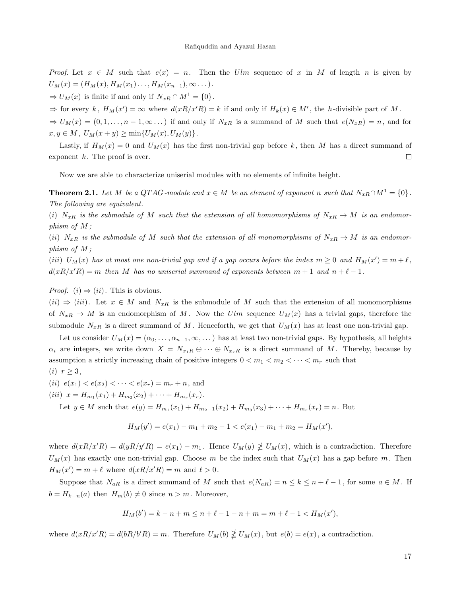Proof. Let  $x \in M$  such that  $e(x) = n$ . Then the Ulm sequence of x in M of length n is given by  $U_M(x) = (H_M(x), H_M(x_1), \ldots, H_M(x_{n-1}), \infty \ldots).$ 

 $\Rightarrow$   $U_M(x)$  is finite if and only if  $N_{xR} \cap M^1 = \{0\}.$ 

 $\Rightarrow$  for every k,  $H_M(x') = \infty$  where  $d(xR/x'R) = k$  if and only if  $H_k(x) \in M'$ , the h-divisible part of M.

 $\Rightarrow$   $U_M(x) = (0, 1, \ldots, n-1, \infty, \ldots)$  if and only if  $N_{xR}$  is a summand of M such that  $e(N_{xR}) = n$ , and for  $x, y \in M$ ,  $U_M(x + y) \ge \min\{U_M(x), U_M(y)\}.$ 

Lastly, if  $H_M(x) = 0$  and  $U_M(x)$  has the first non-trivial gap before k, then M has a direct summand of exponent  $k$ . The proof is over.  $\Box$ 

Now we are able to characterize uniserial modules with no elements of infinite height.

**Theorem 2.1.** Let M be a QTAG-module and  $x \in M$  be an element of exponent n such that  $N_{xR} \cap M^1 = \{0\}$ . The following are equivalent.

(i)  $N_{xR}$  is the submodule of M such that the extension of all homomorphisms of  $N_{xR} \to M$  is an endomorphism of M ;

(ii)  $N_{xR}$  is the submodule of M such that the extension of all monomorphisms of  $N_{xR} \to M$  is an endomorphism of M ;

(iii)  $U_M(x)$  has at most one non-trivial gap and if a gap occurs before the index  $m \geq 0$  and  $H_M(x') = m + \ell$ ,  $d(xR/x'R) = m$  then M has no uniserial summand of exponents between  $m + 1$  and  $n + \ell - 1$ .

*Proof.* (*i*)  $\Rightarrow$  (*ii*). This is obvious.

 $(ii) \Rightarrow (iii)$ . Let  $x \in M$  and  $N_{xR}$  is the submodule of M such that the extension of all monomorphisms of  $N_{xR} \to M$  is an endomorphism of M. Now the Ulm sequence  $U_M(x)$  has a trivial gaps, therefore the submodule  $N_{xR}$  is a direct summand of M. Henceforth, we get that  $U_M(x)$  has at least one non-trivial gap.

Let us consider  $U_M(x) = (\alpha_0, \ldots, \alpha_{n-1}, \infty, \ldots)$  has at least two non-trivial gaps. By hypothesis, all heights  $\alpha_i$  are integers, we write down  $X = N_{x_1R} \oplus \cdots \oplus N_{x_rR}$  is a direct summand of M. Thereby, because by assumption a strictly increasing chain of positive integers  $0 < m_1 < m_2 < \cdots < m_r$  such that  $\langle \cdot \rangle$ 

$$
(i) \ \ r \geq 3,
$$

(*ii*)  $e(x_1) < e(x_2) < \cdots < e(x_r) = m_r + n$ , and

(iii)  $x = H_{m_1}(x_1) + H_{m_2}(x_2) + \cdots + H_{m_r}(x_r)$ .

Let  $y \in M$  such that  $e(y) = H_{m_1}(x_1) + H_{m_2-1}(x_2) + H_{m_3}(x_3) + \cdots + H_{m_r}(x_r) = n$ . But

$$
H_M(y') = e(x_1) - m_1 + m_2 - 1 < e(x_1) - m_1 + m_2 = H_M(x'),
$$

where  $d(xR/x'R) = d(yR/y'R) = e(x_1) - m_1$ . Hence  $U_M(y) \ngeq U_M(x)$ , which is a contradiction. Therefore  $U_M(x)$  has exactly one non-trivial gap. Choose m be the index such that  $U_M(x)$  has a gap before m. Then  $H_M(x') = m + \ell$  where  $d(xR/x'R) = m$  and  $\ell > 0$ .

Suppose that  $N_{aR}$  is a direct summand of M such that  $e(N_{aR}) = n \le k \le n + \ell - 1$ , for some  $a \in M$ . If  $b = H_{k-n}(a)$  then  $H_m(b) \neq 0$  since  $n > m$ . Moreover,

$$
H_M(b') = k - n + m \le n + \ell - 1 - n + m = m + \ell - 1 < H_M(x'),
$$

where  $d(xR/x'R) = d(bR/b'R) = m$ . Therefore  $U_M(b) \not\geq U_M(x)$ , but  $e(b) = e(x)$ , a contradiction.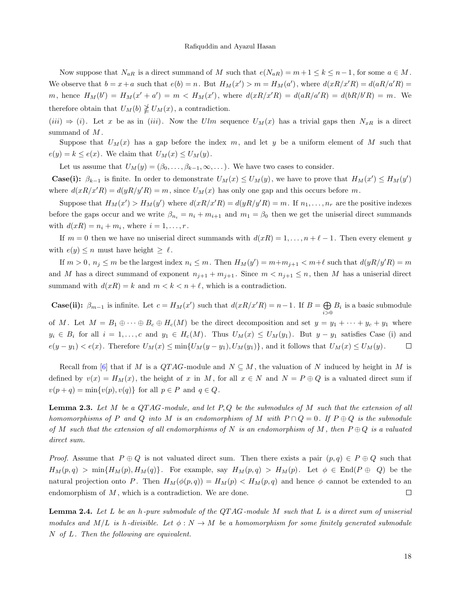Now suppose that  $N_{aR}$  is a direct summand of M such that  $e(N_{aR}) = m + 1 \le k \le n - 1$ , for some  $a \in M$ . We observe that  $b = x + a$  such that  $e(b) = n$ . But  $H_M(x') > m = H_M(a')$ , where  $d(xR/x'R) = d(aR/a'R) =$ m, hence  $H_M(b') = H_M(x' + a') = m < H_M(x')$ , where  $d(xR/x'R) = d(aR/a'R) = d(bR/b'R) = m$ . We therefore obtain that  $U_M(b) \not\geq U_M(x)$ , a contradiction.

 $(iii) \Rightarrow (i)$ . Let x be as in  $(iii)$ . Now the Ulm sequence  $U_M(x)$  has a trivial gaps then  $N_{xR}$  is a direct summand of  $M$ .

Suppose that  $U_M(x)$  has a gap before the index m, and let y be a uniform element of M such that  $e(y) = k \le e(x)$ . We claim that  $U_M(x) \le U_M(y)$ .

Let us assume that  $U_M(y) = (\beta_0, \ldots, \beta_{k-1}, \infty, \ldots)$ . We have two cases to consider.

**Case(i):**  $\beta_{k-1}$  is finite. In order to demonstrate  $U_M(x) \leq U_M(y)$ , we have to prove that  $H_M(x') \leq H_M(y')$ where  $d(xR/x'R) = d(yR/y'R) = m$ , since  $U_M(x)$  has only one gap and this occurs before m.

Suppose that  $H_M(x') > H_M(y')$  where  $d(xR/x'R) = d(yR/y'R) = m$ . If  $n_1, \ldots, n_r$  are the positive indexes before the gaps occur and we write  $\beta_{n_i} = n_i + m_{i+1}$  and  $m_1 = \beta_0$  then we get the uniserial direct summands with  $d(xR) = n_i + m_i$ , where  $i = 1, \ldots, r$ .

If  $m = 0$  then we have no uniserial direct summands with  $d(xR) = 1, \ldots, n + \ell - 1$ . Then every element y with  $e(y) \leq n$  must have height  $\geq \ell$ .

If  $m > 0$ ,  $n_j \le m$  be the largest index  $n_i \le m$ . Then  $H_M(y') = m + m_{j+1} < m + \ell$  such that  $d(yR/y'R) = m$ and M has a direct summand of exponent  $n_{j+1} + m_{j+1}$ . Since  $m < n_{j+1} \leq n$ , then M has a uniserial direct summand with  $d(xR) = k$  and  $m < k < n + \ell$ , which is a contradiction.

**Case(ii):**  $\beta_{m-1}$  is infinite. Let  $c = H_M(x')$  such that  $d(xR/x'R) = n-1$ . If  $B = \bigoplus$  $\bigoplus_{i>0} B_i$  is a basic submodule of M. Let  $M = B_1 \oplus \cdots \oplus B_c \oplus H_c(M)$  be the direct decomposition and set  $y = y_1 + \cdots + y_c + y_1$  where  $y_i \in B_i$  for all  $i = 1, \ldots, c$  and  $y_1 \in H_c(M)$ . Thus  $U_M(x) \leq U_M(y_1)$ . But  $y - y_1$  satisfies Case (i) and  $e(y-y_1) < e(x)$ . Therefore  $U_M(x) \le \min\{U_M(y-y_1), U_M(y_1)\}\$ , and it follows that  $U_M(x) \le U_M(y)$ .  $\Box$ 

Recall from [\[6\]](#page-8-11) that if M is a  $QTAG$ -module and  $N \subseteq M$ , the valuation of N induced by height in M is defined by  $v(x) = H<sub>M</sub>(x)$ , the height of x in M, for all  $x \in N$  and  $N = P \oplus Q$  is a valuated direct sum if  $v(p+q) = \min\{v(p), v(q)\}\$ for all  $p \in P$  and  $q \in Q$ .

**Lemma 2.3.** Let M be a QTAG-module, and let  $P, Q$  be the submodules of M such that the extension of all homomorphisms of P and Q into M is an endomorphism of M with  $P \cap Q = 0$ . If  $P \oplus Q$  is the submodule of M such that the extension of all endomorphisms of N is an endomorphism of M, then  $P \oplus Q$  is a valuated direct sum.

*Proof.* Assume that  $P \oplus Q$  is not valuated direct sum. Then there exists a pair  $(p,q) \in P \oplus Q$  such that  $H_M(p,q) > \min\{H_M(p), H_M(q)\}.$  For example, say  $H_M(p,q) > H_M(p).$  Let  $\phi \in \text{End}(P \oplus Q)$  be the natural projection onto P. Then  $H_M(\phi(p,q)) = H_M(p) < H_M(p,q)$  and hence  $\phi$  cannot be extended to an endomorphism of  $M$ , which is a contradiction. We are done.  $\Box$ 

**Lemma 2.4.** Let L be an h-pure submodule of the QTAG-module M such that L is a direct sum of uniserial modules and  $M/L$  is h-divisible. Let  $\phi : N \to M$  be a homomorphism for some finitely generated submodule N of L. Then the following are equivalent.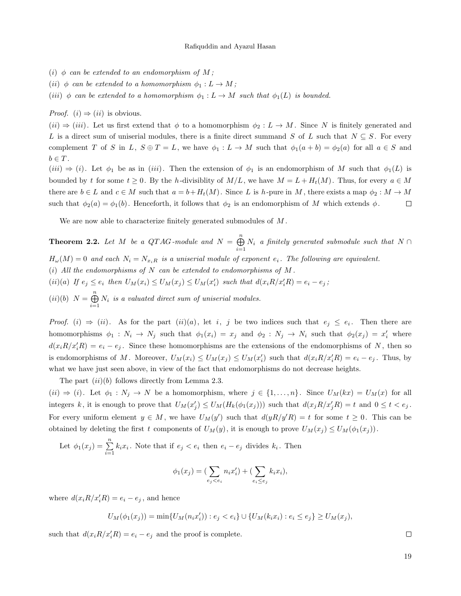- (i)  $\phi$  can be extended to an endomorphism of M;
- (ii)  $\phi$  can be extended to a homomorphism  $\phi_1 : L \to M$ ;
- (iii)  $\phi$  can be extended to a homomorphism  $\phi_1 : L \to M$  such that  $\phi_1(L)$  is bounded.

*Proof.* (*i*)  $\Rightarrow$  (*ii*) is obvious.

 $(ii) \Rightarrow (iii)$ . Let us first extend that  $\phi$  to a homomorphism  $\phi_2: L \to M$ . Since N is finitely generated and L is a direct sum of uniserial modules, there is a finite direct summand S of L such that  $N \subseteq S$ . For every complement T of S in L,  $S \oplus T = L$ , we have  $\phi_1 : L \to M$  such that  $\phi_1(a+b) = \phi_2(a)$  for all  $a \in S$  and  $b \in T$ .

 $(iii) \Rightarrow (i)$ . Let  $\phi_1$  be as in  $(iii)$ . Then the extension of  $\phi_1$  is an endomorphism of M such that  $\phi_1(L)$  is bounded by t for some  $t \geq 0$ . By the h-divisiblity of  $M/L$ , we have  $M = L + H_t(M)$ . Thus, for every  $a \in M$ there are  $b \in L$  and  $c \in M$  such that  $a = b + H_t(M)$ . Since L is h-pure in M, there exists a map  $\phi_2 : M \to M$ such that  $\phi_2(a) = \phi_1(b)$ . Henceforth, it follows that  $\phi_2$  is an endomorphism of M which extends  $\phi$ .  $\Box$ 

We are now able to characterize finitely generated submodules of  $M$ .

**Theorem 2.2.** Let M be a QTAG-module and  $N = \bigoplus^{n}$  $\bigoplus_{i=1}^N N_i$  a finitely generated submodule such that  $N \cap$  $H_{\omega}(M) = 0$  and each  $N_i = N_{x_iR}$  is a uniserial module of exponent  $e_i$ . The following are equivalent. (i) All the endomorphisms of  $N$  can be extended to endomorphisms of  $M$ . (ii)(a) If  $e_j \le e_i$  then  $U_M(x_i) \le U_M(x_j) \le U_M(x_i')$  such that  $d(x_i R/x_i' R) = e_i - e_j$ ;  $(ii)(b) N = \bigoplus^{n}$  $\bigoplus_{i=1} N_i$  is a valuated direct sum of uniserial modules.

*Proof.* (i)  $\Rightarrow$  (ii). As for the part (ii)(a), let i, j be two indices such that  $e_j \leq e_i$ . Then there are homomorphisms  $\phi_1: N_i \to N_j$  such that  $\phi_1(x_i) = x_j$  and  $\phi_2: N_j \to N_i$  such that  $\phi_2(x_j) = x'_i$  where  $d(x_iR/x'_iR) = e_i - e_j$ . Since these homomorphisms are the extensions of the endomorphisms of N, then so is endomorphisms of M. Moreover,  $U_M(x_i) \leq U_M(x_j) \leq U_M(x_i')$  such that  $d(x_i R/x_i R) = e_i - e_j$ . Thus, by what we have just seen above, in view of the fact that endomorphisms do not decrease heights.

The part  $(ii)(b)$  follows directly from Lemma 2.3.

 $(ii) \Rightarrow (i)$ . Let  $\phi_1 : N_j \to N$  be a homomorphism, where  $j \in \{1, ..., n\}$ . Since  $U_M(kx) = U_M(x)$  for all integers k, it is enough to prove that  $U_M(x'_j) \leq U_M(H_k(\phi_1(x_j)))$  such that  $d(x_j R/x'_j R) = t$  and  $0 \leq t < e_j$ . For every uniform element  $y \in M$ , we have  $U_M(y')$  such that  $d(yR/y'R) = t$  for some  $t \geq 0$ . This can be obtained by deleting the first t components of  $U_M(y)$ , it is enough to prove  $U_M(x_j) \leq U_M(\phi_1(x_j))$ .

Let  $\phi_1(x_j) = \sum_{i=1}^n k_i x_i$ . Note that if  $e_j < e_i$  then  $e_i - e_j$  divides  $k_i$ . Then

$$
\phi_1(x_j) = (\sum_{e_j < e_i} n_i x'_i) + (\sum_{e_i \le e_j} k_i x_i),
$$

where  $d(x_i R/x_i R) = e_i - e_j$ , and hence

 $U_M(\phi_1(x_j)) = \min\{U_M(n_ix'_i)) : e_j < e_i\} \cup \{U_M(k_ix_i) : e_i \le e_j\} \ge U_M(x_j),$ 

such that  $d(x_i R/x_i'R) = e_i - e_j$  and the proof is complete.

 $\Box$ 

19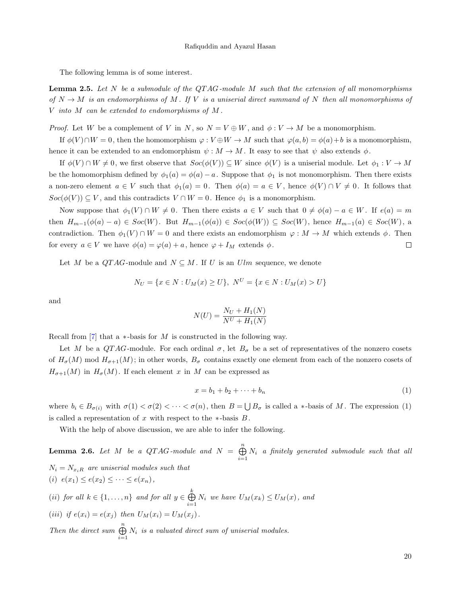The following lemma is of some interest.

**Lemma 2.5.** Let N be a submodule of the QTAG-module M such that the extension of all monomorphisms of  $N \to M$  is an endomorphisms of M. If V is a uniserial direct summand of N then all monomorphisms of V into M can be extended to endomorphisms of M .

*Proof.* Let W be a complement of V in N, so  $N = V \oplus W$ , and  $\phi: V \to M$  be a monomorphism.

If  $\phi(V) \cap W = 0$ , then the homomorphism  $\varphi : V \oplus W \to M$  such that  $\varphi(a, b) = \phi(a) + b$  is a monomorphism, hence it can be extended to an endomorphism  $\psi : M \to M$ . It easy to see that  $\psi$  also extends  $\phi$ .

If  $\phi(V) \cap W \neq 0$ , we first observe that  $Soc(\phi(V)) \subseteq W$  since  $\phi(V)$  is a uniserial module. Let  $\phi_1 : V \to M$ be the homomorphism defined by  $\phi_1(a) = \phi(a) - a$ . Suppose that  $\phi_1$  is not monomorphism. Then there exists a non-zero element  $a \in V$  such that  $\phi_1(a) = 0$ . Then  $\phi(a) = a \in V$ , hence  $\phi(V) \cap V \neq 0$ . It follows that  $Soc(\phi(V)) \subseteq V$ , and this contradicts  $V \cap W = 0$ . Hence  $\phi_1$  is a monomorphism.

Now suppose that  $\phi_1(V) \cap W \neq 0$ . Then there exists  $a \in V$  such that  $0 \neq \phi(a) - a \in W$ . If  $e(a) = m$ then  $H_{m-1}(\phi(a) - a) \in Soc(W)$ . But  $H_{m-1}(\phi(a)) \in Soc(\phi(W)) \subseteq Soc(W)$ , hence  $H_{m-1}(a) \in Soc(W)$ , a contradiction. Then  $\phi_1(V) \cap W = 0$  and there exists an endomorphism  $\varphi : M \to M$  which extends  $\phi$ . Then for every  $a \in V$  we have  $\phi(a) = \varphi(a) + a$ , hence  $\varphi + I_M$  extends  $\phi$ .  $\Box$ 

Let M be a  $QTAG$ -module and  $N \subseteq M$ . If U is an Ulm sequence, we denote

$$
N_U = \{ x \in N : U_M(x) \ge U \}, N^U = \{ x \in N : U_M(x) > U \}
$$

and

$$
N(U) = \frac{N_U + H_1(N)}{N^U + H_1(N)}
$$

Recall from  $\lceil 7 \rceil$  that a  $*$ -basis for M is constructed in the following way.

Let M be a QTAG-module. For each ordinal  $\sigma$ , let  $B_{\sigma}$  be a set of representatives of the nonzero cosets of  $H_{\sigma}(M)$  mod  $H_{\sigma+1}(M)$ ; in other words,  $B_{\sigma}$  contains exactly one element from each of the nonzero cosets of  $H_{\sigma+1}(M)$  in  $H_{\sigma}(M)$ . If each element x in M can be expressed as

$$
x = b_1 + b_2 + \dots + b_n \tag{1}
$$

where  $b_i \in B_{\sigma(i)}$  with  $\sigma(1) < \sigma(2) < \cdots < \sigma(n)$ , then  $B = \bigcup B_{\sigma}$  is called a \*-basis of M. The expression (1) is called a representation of x with respect to the  $*$ -basis  $B$ .

With the help of above discussion, we are able to infer the following.

**Lemma 2.6.** Let M be a QTAG-module and  $N = \bigoplus^{n}$  $\bigoplus_{i=1} N_i$  a finitely generated submodule such that all  $N_i = N_{x_iR}$  are uniserial modules such that (i)  $e(x_1) \leq e(x_2) \leq \cdots \leq e(x_n)$ , (*ii*) for all  $k \in \{1, \ldots, n\}$  and for all  $y \in \bigoplus^k$  $\bigoplus_{i=1}^N N_i$  we have  $U_M(x_k) \leq U_M(x)$ , and (*iii*) if  $e(x_i) = e(x_j)$  then  $U_M(x_i) = U_M(x_j)$ . Then the direct sum  $\bigoplus^n$  $\bigoplus_{i=1} N_i$  is a valuated direct sum of uniserial modules.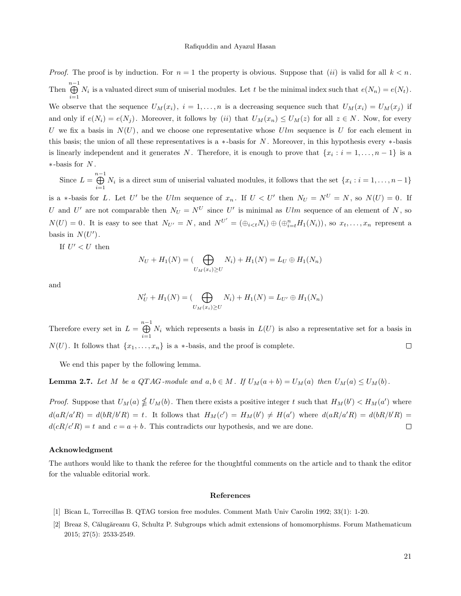#### Rafiquddin and Ayazul Hasan

*Proof.* The proof is by induction. For  $n = 1$  the property is obvious. Suppose that (ii) is valid for all  $k < n$ . Then  $\bigoplus^{n-1}$  $\bigoplus_{i=1} N_i$  is a valuated direct sum of uniserial modules. Let t be the minimal index such that  $e(N_n) = e(N_t)$ .

We observe that the sequence  $U_M(x_i)$ ,  $i = 1, ..., n$  is a decreasing sequence such that  $U_M(x_i) = U_M(x_j)$  if and only if  $e(N_i) = e(N_j)$ . Moreover, it follows by (ii) that  $U_M(x_n) \le U_M(z)$  for all  $z \in N$ . Now, for every U we fix a basis in  $N(U)$ , and we choose one representative whose Ulm sequence is U for each element in this basis; the union of all these representatives is a  $*$ -basis for N. Moreover, in this hypothesis every  $*$ -basis is linearly independent and it generates N. Therefore, it is enough to prove that  $\{x_i : i = 1, \ldots, n-1\}$  is a ∗-basis for N .

Since  $L = \bigoplus^{n-1}$  $\bigoplus_{i=1} N_i$  is a direct sum of uniserial valuated modules, it follows that the set  $\{x_i : i = 1, \ldots, n-1\}$ is a ∗-basis for L. Let U' be the Ulm sequence of  $x_n$ . If  $U < U'$  then  $N_U = N^U = N$ , so  $N(U) = 0$ . If U and U' are not comparable then  $N_U = N^U$  since U' is minimal as Ulm sequence of an element of N, so  $N(U) = 0$ . It is easy to see that  $N_{U'} = N$ , and  $N^{U'} = (\bigoplus_{i \le t} N_i) \oplus (\bigoplus_{i=t}^n H_1(N_i))$ , so  $x_t, \ldots, x_n$  represent a basis in  $N(U')$ .

If  $U' < U$  then

$$
N_U + H_1(N) = (\bigoplus_{U_M(x_i) \ge U} N_i) + H_1(N) = L_U \oplus H_1(N_n)
$$

and

$$
N'_U + H_1(N) = (\bigoplus_{U_M(x_i) \ge U} N_i) + H_1(N) = L_{U'} \oplus H_1(N_n)
$$

Therefore every set in  $L = \bigoplus_{n=1}^{n-1}$  $\bigoplus_{i=1} N_i$  which represents a basis in  $L(U)$  is also a representative set for a basis in  $N(U)$ . It follows that  $\{x_1, \ldots, x_n\}$  is a  $*$ -basis, and the proof is complete.  $\Box$ 

We end this paper by the following lemma.

**Lemma 2.7.** Let M be a QTAG-module and  $a, b \in M$ . If  $U_M(a + b) = U_M(a)$  then  $U_M(a) \le U_M(b)$ .

*Proof.* Suppose that  $U_M(a) \nleq U_M(b)$ . Then there exists a positive integer t such that  $H_M(b') < H_M(a')$  where  $d(aR/a'R) = d(bR/b'R) = t$ . It follows that  $H_M(c') = H_M(b') \neq H(a')$  where  $d(aR/a'R) = d(bR/b'R) =$  $d(cR/c'R) = t$  and  $c = a + b$ . This contradicts our hypothesis, and we are done.  $\Box$ 

### Acknowledgment

The authors would like to thank the referee for the thoughtful comments on the article and to thank the editor for the valuable editorial work.

#### References

- <span id="page-7-0"></span>[1] Bican L, Torrecillas B. QTAG torsion free modules. Comment Math Univ Carolin 1992; 33(1): 1-20.
- <span id="page-7-1"></span>[2] Breaz S, Călugăreanu G, Schultz P. Subgroups which admit extensions of homomorphisms. Forum Mathematicum 2015; 27(5): 2533-2549.